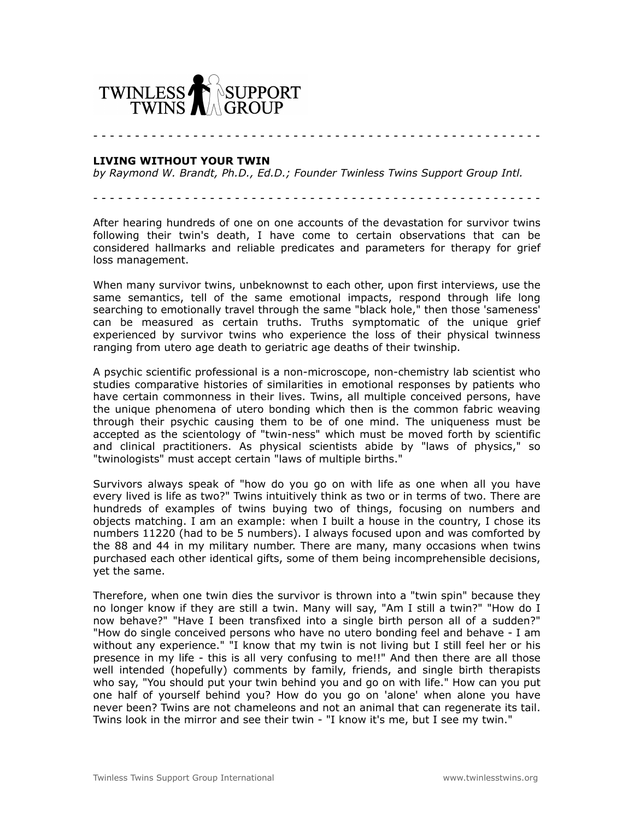

- - - - - - - - - - - - - - - - - - - - - - - - - - - - - - - - - - - - - - - - - - - - - - - - - - - - - -

## **LIVING WITHOUT YOUR TWIN**

*by Raymond W. Brandt, Ph.D., Ed.D.; Founder Twinless Twins Support Group Intl.*

- - - - - - - - - - - - - - - - - - - - - - - - - - - - - - - - - - - - - - - - - - - - - - - - - - - - - -

After hearing hundreds of one on one accounts of the devastation for survivor twins following their twin's death, I have come to certain observations that can be considered hallmarks and reliable predicates and parameters for therapy for grief loss management.

When many survivor twins, unbeknownst to each other, upon first interviews, use the same semantics, tell of the same emotional impacts, respond through life long searching to emotionally travel through the same "black hole," then those 'sameness' can be measured as certain truths. Truths symptomatic of the unique grief experienced by survivor twins who experience the loss of their physical twinness ranging from utero age death to geriatric age deaths of their twinship.

A psychic scientific professional is a non-microscope, non-chemistry lab scientist who studies comparative histories of similarities in emotional responses by patients who have certain commonness in their lives. Twins, all multiple conceived persons, have the unique phenomena of utero bonding which then is the common fabric weaving through their psychic causing them to be of one mind. The uniqueness must be accepted as the scientology of "twin-ness" which must be moved forth by scientific and clinical practitioners. As physical scientists abide by "laws of physics," so "twinologists" must accept certain "laws of multiple births."

Survivors always speak of "how do you go on with life as one when all you have every lived is life as two?" Twins intuitively think as two or in terms of two. There are hundreds of examples of twins buying two of things, focusing on numbers and objects matching. I am an example: when I built a house in the country, I chose its numbers 11220 (had to be 5 numbers). I always focused upon and was comforted by the 88 and 44 in my military number. There are many, many occasions when twins purchased each other identical gifts, some of them being incomprehensible decisions, yet the same.

Therefore, when one twin dies the survivor is thrown into a "twin spin" because they no longer know if they are still a twin. Many will say, "Am I still a twin?" "How do I now behave?" "Have I been transfixed into a single birth person all of a sudden?" "How do single conceived persons who have no utero bonding feel and behave - I am without any experience." "I know that my twin is not living but I still feel her or his presence in my life - this is all very confusing to me!!" And then there are all those well intended (hopefully) comments by family, friends, and single birth therapists who say, "You should put your twin behind you and go on with life." How can you put one half of yourself behind you? How do you go on 'alone' when alone you have never been? Twins are not chameleons and not an animal that can regenerate its tail. Twins look in the mirror and see their twin - "I know it's me, but I see my twin."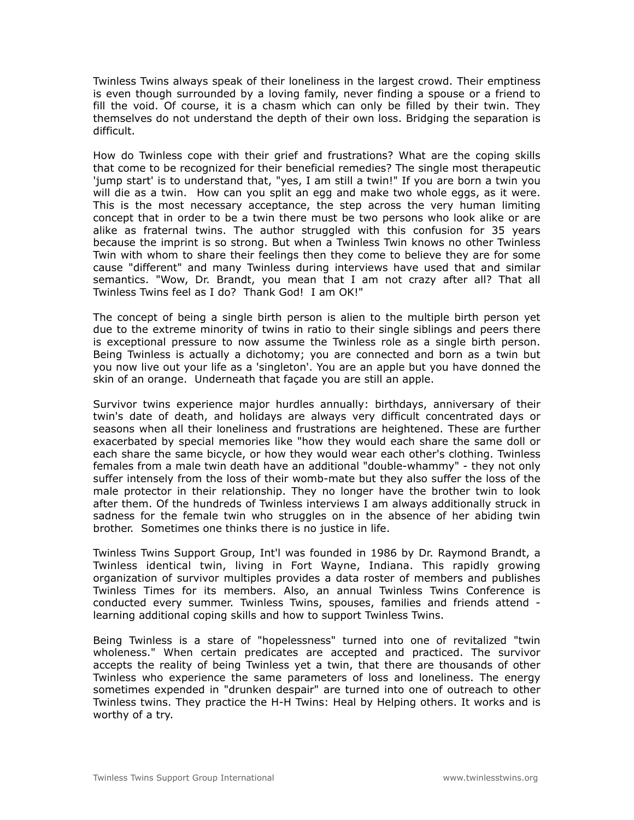Twinless Twins always speak of their loneliness in the largest crowd. Their emptiness is even though surrounded by a loving family, never finding a spouse or a friend to fill the void. Of course, it is a chasm which can only be filled by their twin. They themselves do not understand the depth of their own loss. Bridging the separation is difficult.

How do Twinless cope with their grief and frustrations? What are the coping skills that come to be recognized for their beneficial remedies? The single most therapeutic 'jump start' is to understand that, "yes, I am still a twin!" If you are born a twin you will die as a twin. How can you split an egg and make two whole eggs, as it were. This is the most necessary acceptance, the step across the very human limiting concept that in order to be a twin there must be two persons who look alike or are alike as fraternal twins. The author struggled with this confusion for 35 years because the imprint is so strong. But when a Twinless Twin knows no other Twinless Twin with whom to share their feelings then they come to believe they are for some cause "different" and many Twinless during interviews have used that and similar semantics. "Wow, Dr. Brandt, you mean that I am not crazy after all? That all Twinless Twins feel as I do? Thank God! I am OK!"

The concept of being a single birth person is alien to the multiple birth person yet due to the extreme minority of twins in ratio to their single siblings and peers there is exceptional pressure to now assume the Twinless role as a single birth person. Being Twinless is actually a dichotomy; you are connected and born as a twin but you now live out your life as a 'singleton'. You are an apple but you have donned the skin of an orange. Underneath that façade you are still an apple.

Survivor twins experience major hurdles annually: birthdays, anniversary of their twin's date of death, and holidays are always very difficult concentrated days or seasons when all their loneliness and frustrations are heightened. These are further exacerbated by special memories like "how they would each share the same doll or each share the same bicycle, or how they would wear each other's clothing. Twinless females from a male twin death have an additional "double-whammy" - they not only suffer intensely from the loss of their womb-mate but they also suffer the loss of the male protector in their relationship. They no longer have the brother twin to look after them. Of the hundreds of Twinless interviews I am always additionally struck in sadness for the female twin who struggles on in the absence of her abiding twin brother. Sometimes one thinks there is no justice in life.

Twinless Twins Support Group, Int'l was founded in 1986 by Dr. Raymond Brandt, a Twinless identical twin, living in Fort Wayne, Indiana. This rapidly growing organization of survivor multiples provides a data roster of members and publishes Twinless Times for its members. Also, an annual Twinless Twins Conference is conducted every summer. Twinless Twins, spouses, families and friends attend learning additional coping skills and how to support Twinless Twins.

Being Twinless is a stare of "hopelessness" turned into one of revitalized "twin wholeness." When certain predicates are accepted and practiced. The survivor accepts the reality of being Twinless yet a twin, that there are thousands of other Twinless who experience the same parameters of loss and loneliness. The energy sometimes expended in "drunken despair" are turned into one of outreach to other Twinless twins. They practice the H-H Twins: Heal by Helping others. It works and is worthy of a try.